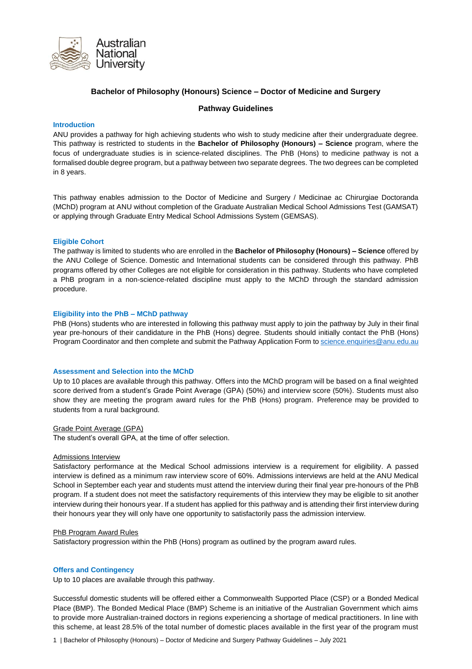

## **Bachelor of Philosophy (Honours) Science – Doctor of Medicine and Surgery**

## **Pathway Guidelines**

## **Introduction**

ANU provides a pathway for high achieving students who wish to study medicine after their undergraduate degree. This pathway is restricted to students in the **Bachelor of Philosophy (Honours) – Science** program, where the focus of undergraduate studies is in science-related disciplines. The PhB (Hons) to medicine pathway is not a formalised double degree program, but a pathway between two separate degrees. The two degrees can be completed in 8 years.

This pathway enables admission to the Doctor of Medicine and Surgery / Medicinae ac Chirurgiae Doctoranda (MChD) program at ANU without completion of the Graduate Australian Medical School Admissions Test (GAMSAT) or applying through Graduate Entry Medical School Admissions System (GEMSAS).

### **Eligible Cohort**

The pathway is limited to students who are enrolled in the **Bachelor of Philosophy (Honours) – Science** offered by the ANU College of Science. Domestic and International students can be considered through this pathway. PhB programs offered by other Colleges are not eligible for consideration in this pathway. Students who have completed a PhB program in a non-science-related discipline must apply to the MChD through the standard admission procedure.

#### **Eligibility into the PhB – MChD pathway**

PhB (Hons) students who are interested in following this pathway must apply to join the pathway by July in their final year pre-honours of their candidature in the PhB (Hons) degree. Students should initially contact the PhB (Hons) Program Coordinator and then complete and submit the Pathway Application Form t[o science.enquiries@anu.edu.au](mailto:science.enquiries@anu.edu.au)

## **Assessment and Selection into the MChD**

Up to 10 places are available through this pathway. Offers into the MChD program will be based on a final weighted score derived from a student's Grade Point Average (GPA) (50%) and interview score (50%). Students must also show they are meeting the program award rules for the PhB (Hons) program. Preference may be provided to students from a rural background.

## Grade Point Average (GPA)

The student's overall GPA, at the time of offer selection.

#### Admissions Interview

Satisfactory performance at the Medical School admissions interview is a requirement for eligibility. A passed interview is defined as a minimum raw interview score of 60%. Admissions interviews are held at the ANU Medical School in September each year and students must attend the interview during their final year pre-honours of the PhB program. If a student does not meet the satisfactory requirements of this interview they may be eligible to sit another interview during their honours year. If a student has applied for this pathway and is attending their first interview during their honours year they will only have one opportunity to satisfactorily pass the admission interview.

#### PhB Program Award Rules

Satisfactory progression within the PhB (Hons) program as outlined by the program award rules.

## **Offers and Contingency**

Up to 10 places are available through this pathway.

Successful domestic students will be offered either a Commonwealth Supported Place (CSP) or a Bonded Medical Place (BMP). The Bonded Medical Place (BMP) Scheme is an initiative of the Australian Government which aims to provide more Australian-trained doctors in regions experiencing a shortage of medical practitioners. In line with this scheme, at least 28.5% of the total number of domestic places available in the first year of the program must

1 | Bachelor of Philosophy (Honours) – Doctor of Medicine and Surgery Pathway Guidelines – July 2021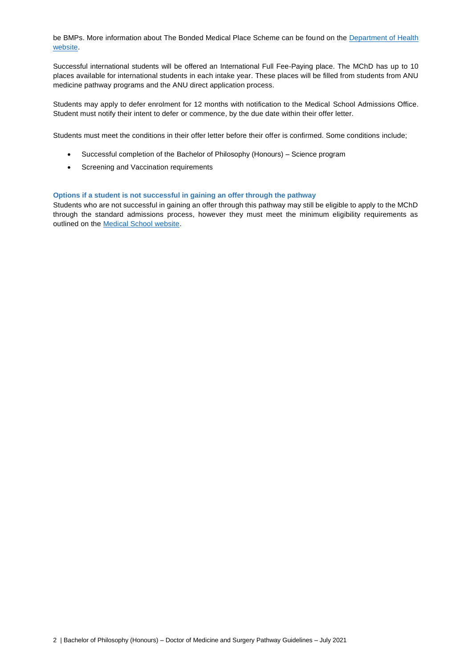be BMPs. More information about The Bonded Medical Place Scheme can be found on the [Department of Health](https://www1.health.gov.au/internet/main/publishing.nsf/Content/work-st-bmp?Open=&utm_source=health.gov.au&utm_medium=redirect&utm_campaign=digital_transformation&utm_content=bmpscheme)  [website.](https://www1.health.gov.au/internet/main/publishing.nsf/Content/work-st-bmp?Open=&utm_source=health.gov.au&utm_medium=redirect&utm_campaign=digital_transformation&utm_content=bmpscheme)

Successful international students will be offered an International Full Fee-Paying place. The MChD has up to 10 places available for international students in each intake year. These places will be filled from students from ANU medicine pathway programs and the ANU direct application process.

Students may apply to defer enrolment for 12 months with notification to the Medical School Admissions Office. Student must notify their intent to defer or commence, by the due date within their offer letter.

Students must meet the conditions in their offer letter before their offer is confirmed. Some conditions include;

- Successful completion of the Bachelor of Philosophy (Honours) Science program
- Screening and Vaccination requirements

## **Options if a student is not successful in gaining an offer through the pathway**

Students who are not successful in gaining an offer through this pathway may still be eligible to apply to the MChD through the standard admissions process, however they must meet the minimum eligibility requirements as outlined on the [Medical School website.](https://health.anu.edu.au/study/doctor-medicine-and-surgery)